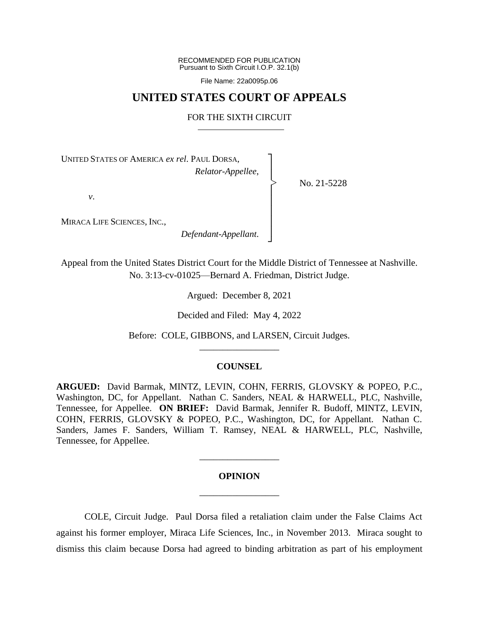RECOMMENDED FOR PUBLICATION Pursuant to Sixth Circuit I.O.P. 32.1(b)

File Name: 22a0095p.06

## **UNITED STATES COURT OF APPEALS**

### FOR THE SIXTH CIRCUIT

┐ │ │ │ │ │ │ │ ┘

|<br>|<br>|

No. 21-5228

UNITED STATES OF AMERICA *ex rel*. PAUL DORSA, *Relator-Appellee*,

*v*.

MIRACA LIFE SCIENCES, INC.,

*Defendant-Appellant*.

Appeal from the United States District Court for the Middle District of Tennessee at Nashville. No. 3:13-cv-01025—Bernard A. Friedman, District Judge.

Argued: December 8, 2021

Decided and Filed: May 4, 2022

Before: COLE, GIBBONS, and LARSEN, Circuit Judges. \_\_\_\_\_\_\_\_\_\_\_\_\_\_\_\_\_

### **COUNSEL**

**ARGUED:** David Barmak, MINTZ, LEVIN, COHN, FERRIS, GLOVSKY & POPEO, P.C., Washington, DC, for Appellant. Nathan C. Sanders, NEAL & HARWELL, PLC, Nashville, Tennessee, for Appellee. **ON BRIEF:** David Barmak, Jennifer R. Budoff, MINTZ, LEVIN, COHN, FERRIS, GLOVSKY & POPEO, P.C., Washington, DC, for Appellant. Nathan C. Sanders, James F. Sanders, William T. Ramsey, NEAL & HARWELL, PLC, Nashville, Tennessee, for Appellee.

# **OPINION** \_\_\_\_\_\_\_\_\_\_\_\_\_\_\_\_\_

\_\_\_\_\_\_\_\_\_\_\_\_\_\_\_\_\_

COLE, Circuit Judge. Paul Dorsa filed a retaliation claim under the False Claims Act against his former employer, Miraca Life Sciences, Inc., in November 2013. Miraca sought to dismiss this claim because Dorsa had agreed to binding arbitration as part of his employment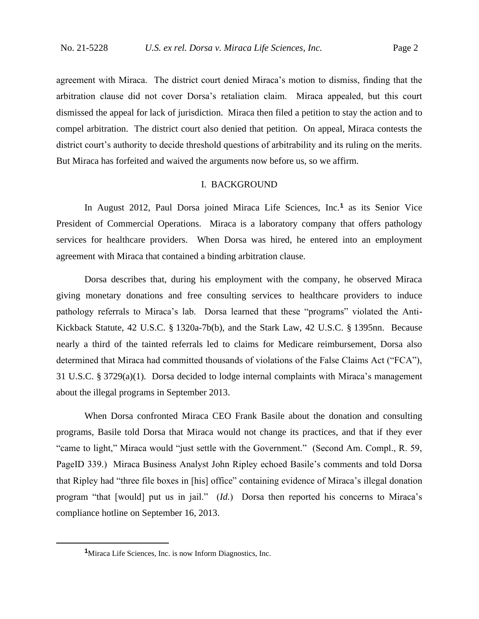agreement with Miraca. The district court denied Miraca's motion to dismiss, finding that the arbitration clause did not cover Dorsa's retaliation claim. Miraca appealed, but this court dismissed the appeal for lack of jurisdiction. Miraca then filed a petition to stay the action and to compel arbitration. The district court also denied that petition. On appeal, Miraca contests the district court's authority to decide threshold questions of arbitrability and its ruling on the merits. But Miraca has forfeited and waived the arguments now before us, so we affirm.

### I. BACKGROUND

In August 2012, Paul Dorsa joined Miraca Life Sciences, Inc.**<sup>1</sup>** as its Senior Vice President of Commercial Operations. Miraca is a laboratory company that offers pathology services for healthcare providers. When Dorsa was hired, he entered into an employment agreement with Miraca that contained a binding arbitration clause.

Dorsa describes that, during his employment with the company, he observed Miraca giving monetary donations and free consulting services to healthcare providers to induce pathology referrals to Miraca's lab. Dorsa learned that these "programs" violated the Anti-Kickback Statute, 42 U.S.C. § 1320a-7b(b), and the Stark Law, 42 U.S.C. § 1395nn. Because nearly a third of the tainted referrals led to claims for Medicare reimbursement, Dorsa also determined that Miraca had committed thousands of violations of the False Claims Act ("FCA"), 31 U.S.C. § 3729(a)(1). Dorsa decided to lodge internal complaints with Miraca's management about the illegal programs in September 2013.

When Dorsa confronted Miraca CEO Frank Basile about the donation and consulting programs, Basile told Dorsa that Miraca would not change its practices, and that if they ever "came to light," Miraca would "just settle with the Government." (Second Am. Compl., R. 59, PageID 339.) Miraca Business Analyst John Ripley echoed Basile's comments and told Dorsa that Ripley had "three file boxes in [his] office" containing evidence of Miraca's illegal donation program "that [would] put us in jail." (*Id.*) Dorsa then reported his concerns to Miraca's compliance hotline on September 16, 2013.

<sup>&</sup>lt;sup>1</sup>Miraca Life Sciences, Inc. is now Inform Diagnostics, Inc.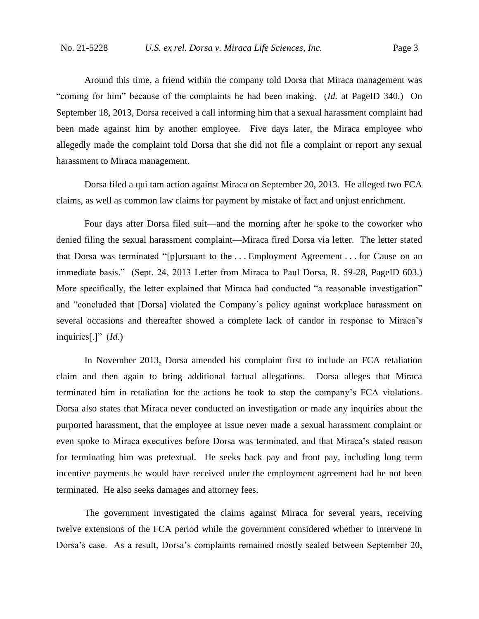Around this time, a friend within the company told Dorsa that Miraca management was "coming for him" because of the complaints he had been making. (*Id.* at PageID 340.) On September 18, 2013, Dorsa received a call informing him that a sexual harassment complaint had been made against him by another employee. Five days later, the Miraca employee who allegedly made the complaint told Dorsa that she did not file a complaint or report any sexual harassment to Miraca management.

Dorsa filed a qui tam action against Miraca on September 20, 2013. He alleged two FCA claims, as well as common law claims for payment by mistake of fact and unjust enrichment.

Four days after Dorsa filed suit—and the morning after he spoke to the coworker who denied filing the sexual harassment complaint—Miraca fired Dorsa via letter. The letter stated that Dorsa was terminated "[p]ursuant to the . . . Employment Agreement . . . for Cause on an immediate basis." (Sept. 24, 2013 Letter from Miraca to Paul Dorsa, R. 59-28, PageID 603.) More specifically, the letter explained that Miraca had conducted "a reasonable investigation" and "concluded that [Dorsa] violated the Company's policy against workplace harassment on several occasions and thereafter showed a complete lack of candor in response to Miraca's inquiries[.]" (*Id.*)

In November 2013, Dorsa amended his complaint first to include an FCA retaliation claim and then again to bring additional factual allegations. Dorsa alleges that Miraca terminated him in retaliation for the actions he took to stop the company's FCA violations. Dorsa also states that Miraca never conducted an investigation or made any inquiries about the purported harassment, that the employee at issue never made a sexual harassment complaint or even spoke to Miraca executives before Dorsa was terminated, and that Miraca's stated reason for terminating him was pretextual. He seeks back pay and front pay, including long term incentive payments he would have received under the employment agreement had he not been terminated. He also seeks damages and attorney fees.

The government investigated the claims against Miraca for several years, receiving twelve extensions of the FCA period while the government considered whether to intervene in Dorsa's case. As a result, Dorsa's complaints remained mostly sealed between September 20,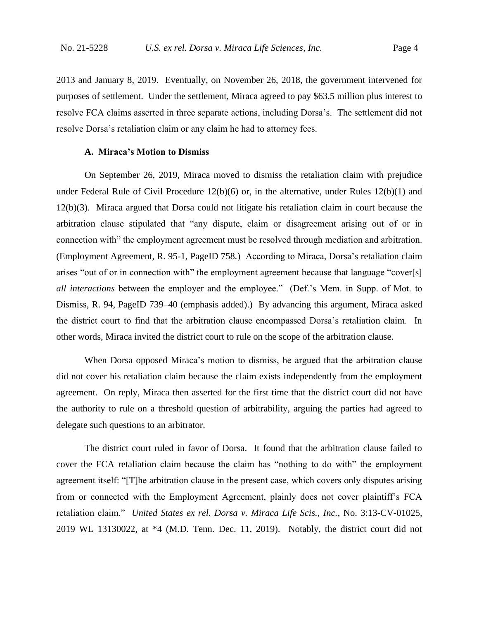2013 and January 8, 2019. Eventually, on November 26, 2018, the government intervened for purposes of settlement. Under the settlement, Miraca agreed to pay \$63.5 million plus interest to resolve FCA claims asserted in three separate actions, including Dorsa's. The settlement did not resolve Dorsa's retaliation claim or any claim he had to attorney fees.

### **A. Miraca's Motion to Dismiss**

On September 26, 2019, Miraca moved to dismiss the retaliation claim with prejudice under Federal Rule of Civil Procedure 12(b)(6) or, in the alternative, under Rules 12(b)(1) and 12(b)(3). Miraca argued that Dorsa could not litigate his retaliation claim in court because the arbitration clause stipulated that "any dispute, claim or disagreement arising out of or in connection with" the employment agreement must be resolved through mediation and arbitration. (Employment Agreement, R. 95-1, PageID 758*.*) According to Miraca, Dorsa's retaliation claim arises "out of or in connection with" the employment agreement because that language "cover[s] *all interactions* between the employer and the employee." (Def.'s Mem. in Supp. of Mot. to Dismiss, R. 94, PageID 739–40 (emphasis added).) By advancing this argument, Miraca asked the district court to find that the arbitration clause encompassed Dorsa's retaliation claim. In other words, Miraca invited the district court to rule on the scope of the arbitration clause.

When Dorsa opposed Miraca's motion to dismiss, he argued that the arbitration clause did not cover his retaliation claim because the claim exists independently from the employment agreement. On reply, Miraca then asserted for the first time that the district court did not have the authority to rule on a threshold question of arbitrability, arguing the parties had agreed to delegate such questions to an arbitrator.

The district court ruled in favor of Dorsa. It found that the arbitration clause failed to cover the FCA retaliation claim because the claim has "nothing to do with" the employment agreement itself: "[T]he arbitration clause in the present case, which covers only disputes arising from or connected with the Employment Agreement, plainly does not cover plaintiff's FCA retaliation claim." *United States ex rel. Dorsa v. Miraca Life Scis., Inc.*, No. 3:13-CV-01025, 2019 WL 13130022, at \*4 (M.D. Tenn. Dec. 11, 2019). Notably, the district court did not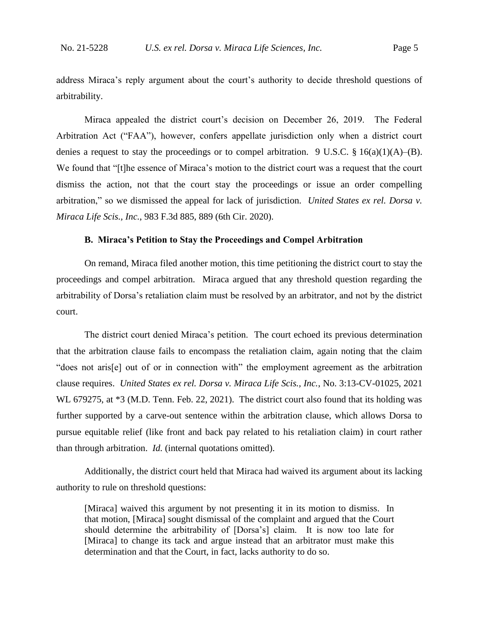address Miraca's reply argument about the court's authority to decide threshold questions of arbitrability.

Miraca appealed the district court's decision on December 26, 2019. The Federal Arbitration Act ("FAA"), however, confers appellate jurisdiction only when a district court denies a request to stay the proceedings or to compel arbitration. 9 U.S.C.  $\S 16(a)(1)(A)$ –(B). We found that "[t]he essence of Miraca's motion to the district court was a request that the court dismiss the action, not that the court stay the proceedings or issue an order compelling arbitration," so we dismissed the appeal for lack of jurisdiction. *United States ex rel. Dorsa v. Miraca Life Scis., Inc.*, 983 F.3d 885, 889 (6th Cir. 2020).

### **B. Miraca's Petition to Stay the Proceedings and Compel Arbitration**

On remand, Miraca filed another motion, this time petitioning the district court to stay the proceedings and compel arbitration. Miraca argued that any threshold question regarding the arbitrability of Dorsa's retaliation claim must be resolved by an arbitrator, and not by the district court.

The district court denied Miraca's petition.The court echoed its previous determination that the arbitration clause fails to encompass the retaliation claim, again noting that the claim "does not aris[e] out of or in connection with" the employment agreement as the arbitration clause requires. *United States ex rel. Dorsa v. Miraca Life Scis., Inc.*, No. 3:13-CV-01025, 2021 WL 679275, at  $*3$  (M.D. Tenn. Feb. 22, 2021). The district court also found that its holding was further supported by a carve-out sentence within the arbitration clause, which allows Dorsa to pursue equitable relief (like front and back pay related to his retaliation claim) in court rather than through arbitration. *Id.* (internal quotations omitted).

Additionally, the district court held that Miraca had waived its argument about its lacking authority to rule on threshold questions:

[Miraca] waived this argument by not presenting it in its motion to dismiss. In that motion, [Miraca] sought dismissal of the complaint and argued that the Court should determine the arbitrability of [Dorsa's] claim. It is now too late for [Miraca] to change its tack and argue instead that an arbitrator must make this determination and that the Court, in fact, lacks authority to do so.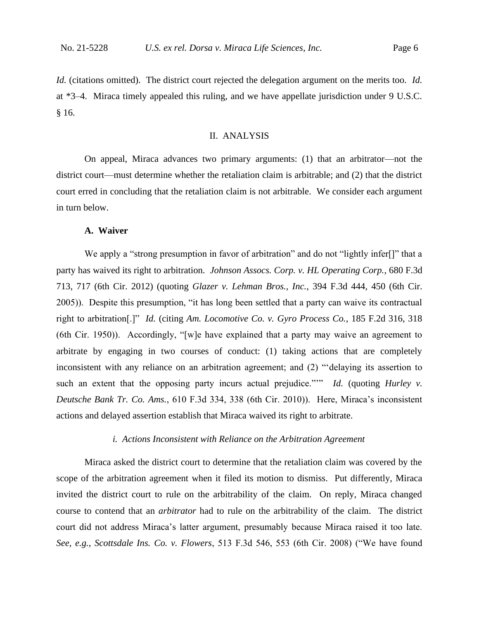*Id.* (citations omitted). The district court rejected the delegation argument on the merits too. *Id.*  at \*3–4. Miraca timely appealed this ruling, and we have appellate jurisdiction under 9 U.S.C. § 16.

### II. ANALYSIS

On appeal, Miraca advances two primary arguments: (1) that an arbitrator—not the district court—must determine whether the retaliation claim is arbitrable; and (2) that the district court erred in concluding that the retaliation claim is not arbitrable. We consider each argument in turn below.

### **A. Waiver**

We apply a "strong presumption in favor of arbitration" and do not "lightly infer<sup>[]"</sup> that a party has waived its right to arbitration. *Johnson Assocs. Corp. v. HL Operating Corp.*, 680 F.3d 713, 717 (6th Cir. 2012) (quoting *Glazer v. Lehman Bros., Inc.*, 394 F.3d 444, 450 (6th Cir. 2005)). Despite this presumption, "it has long been settled that a party can waive its contractual right to arbitration[.]" *Id.* (citing *Am. Locomotive Co. v. Gyro Process Co.*, 185 F.2d 316, 318 (6th Cir. 1950)). Accordingly, "[w]e have explained that a party may waive an agreement to arbitrate by engaging in two courses of conduct: (1) taking actions that are completely inconsistent with any reliance on an arbitration agreement; and (2) "'delaying its assertion to such an extent that the opposing party incurs actual prejudice."" *Id.* (quoting *Hurley v. Deutsche Bank Tr. Co. Ams.*, 610 F.3d 334, 338 (6th Cir. 2010)). Here, Miraca's inconsistent actions and delayed assertion establish that Miraca waived its right to arbitrate.

### *i. Actions Inconsistent with Reliance on the Arbitration Agreement*

Miraca asked the district court to determine that the retaliation claim was covered by the scope of the arbitration agreement when it filed its motion to dismiss. Put differently, Miraca invited the district court to rule on the arbitrability of the claim. On reply, Miraca changed course to contend that an *arbitrator* had to rule on the arbitrability of the claim. The district court did not address Miraca's latter argument, presumably because Miraca raised it too late. *See, e.g.*, *Scottsdale Ins. Co. v. Flowers*, 513 F.3d 546, 553 (6th Cir. 2008) ("We have found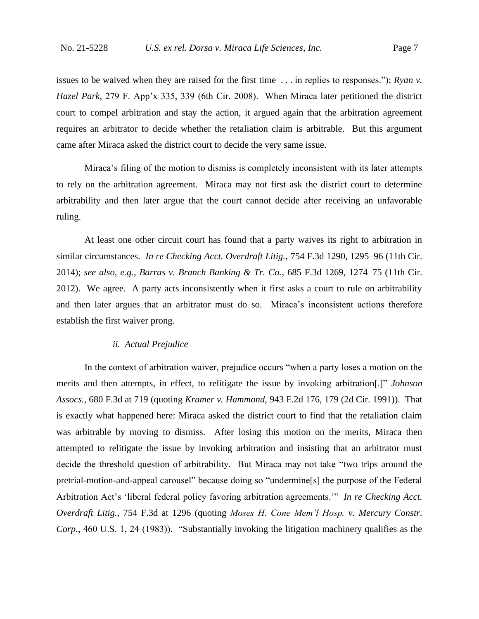issues to be waived when they are raised for the first time . . . in replies to responses."); *Ryan v. Hazel Park*, 279 F. App'x 335, 339 (6th Cir. 2008). When Miraca later petitioned the district court to compel arbitration and stay the action, it argued again that the arbitration agreement requires an arbitrator to decide whether the retaliation claim is arbitrable. But this argument came after Miraca asked the district court to decide the very same issue.

Miraca's filing of the motion to dismiss is completely inconsistent with its later attempts to rely on the arbitration agreement. Miraca may not first ask the district court to determine arbitrability and then later argue that the court cannot decide after receiving an unfavorable ruling.

At least one other circuit court has found that a party waives its right to arbitration in similar circumstances. *In re Checking Acct. Overdraft Litig.*, 754 F.3d 1290, 1295–96 (11th Cir. 2014); *see also, e.g.*, *Barras v. Branch Banking & Tr. Co.*, 685 F.3d 1269, 1274–75 (11th Cir. 2012). We agree. A party acts inconsistently when it first asks a court to rule on arbitrability and then later argues that an arbitrator must do so. Miraca's inconsistent actions therefore establish the first waiver prong.

### *ii. Actual Prejudice*

In the context of arbitration waiver, prejudice occurs "when a party loses a motion on the merits and then attempts, in effect, to relitigate the issue by invoking arbitration[.]" *Johnson Assocs.*, 680 F.3d at 719 (quoting *Kramer v. Hammond*, 943 F.2d 176, 179 (2d Cir. 1991)). That is exactly what happened here: Miraca asked the district court to find that the retaliation claim was arbitrable by moving to dismiss. After losing this motion on the merits, Miraca then attempted to relitigate the issue by invoking arbitration and insisting that an arbitrator must decide the threshold question of arbitrability. But Miraca may not take "two trips around the pretrial-motion-and-appeal carousel" because doing so "undermine[s] the purpose of the Federal Arbitration Act's 'liberal federal policy favoring arbitration agreements.'" *In re Checking Acct. Overdraft Litig.*, 754 F.3d at 1296 (quoting *Moses H. Cone Mem'l Hosp. v. Mercury Constr. Corp.*, 460 U.S. 1, 24 (1983)). "Substantially invoking the litigation machinery qualifies as the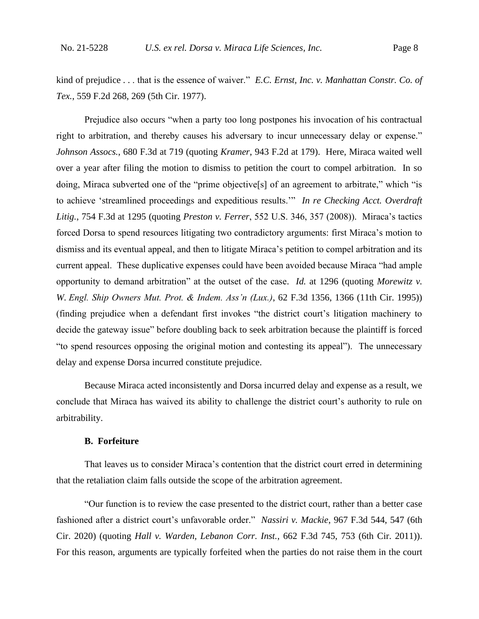kind of prejudice . . . that is the essence of waiver." *E.C. Ernst, Inc. v. Manhattan Constr. Co. of Tex.*, 559 F.2d 268, 269 (5th Cir. 1977).

Prejudice also occurs "when a party too long postpones his invocation of his contractual right to arbitration, and thereby causes his adversary to incur unnecessary delay or expense." *Johnson Assocs.*, 680 F.3d at 719 (quoting *Kramer*, 943 F.2d at 179). Here, Miraca waited well over a year after filing the motion to dismiss to petition the court to compel arbitration. In so doing, Miraca subverted one of the "prime objective[s] of an agreement to arbitrate," which "is to achieve 'streamlined proceedings and expeditious results.'" *In re Checking Acct. Overdraft Litig.*, 754 F.3d at 1295 (quoting *Preston v. Ferrer*, 552 U.S. 346, 357 (2008)). Miraca's tactics forced Dorsa to spend resources litigating two contradictory arguments: first Miraca's motion to dismiss and its eventual appeal, and then to litigate Miraca's petition to compel arbitration and its current appeal. These duplicative expenses could have been avoided because Miraca "had ample opportunity to demand arbitration" at the outset of the case. *Id.* at 1296 (quoting *Morewitz v. W. Engl. Ship Owners Mut. Prot. & Indem. Ass'n (Lux.)*, 62 F.3d 1356, 1366 (11th Cir. 1995)) (finding prejudice when a defendant first invokes "the district court's litigation machinery to decide the gateway issue" before doubling back to seek arbitration because the plaintiff is forced "to spend resources opposing the original motion and contesting its appeal"). The unnecessary delay and expense Dorsa incurred constitute prejudice.

Because Miraca acted inconsistently and Dorsa incurred delay and expense as a result, we conclude that Miraca has waived its ability to challenge the district court's authority to rule on arbitrability.

### **B. Forfeiture**

That leaves us to consider Miraca's contention that the district court erred in determining that the retaliation claim falls outside the scope of the arbitration agreement.

"Our function is to review the case presented to the district court, rather than a better case fashioned after a district court's unfavorable order." *Nassiri v. Mackie*, 967 F.3d 544, 547 (6th Cir. 2020) (quoting *Hall v. Warden, Lebanon Corr. Inst.*, 662 F.3d 745, 753 (6th Cir. 2011)). For this reason, arguments are typically forfeited when the parties do not raise them in the court